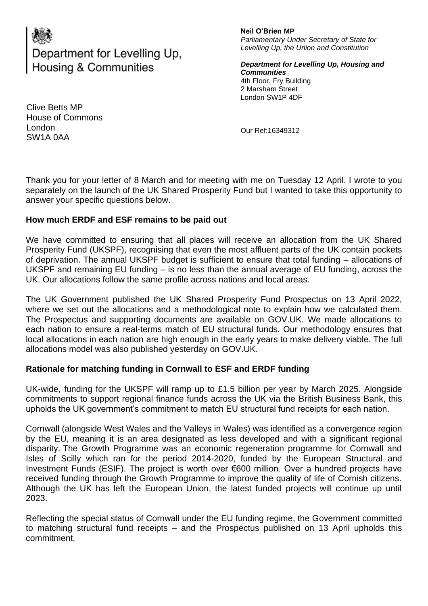# Department for Levelling Up, **Housing & Communities**

**Neil O'Brien MP** *Parliamentary Under Secretary of State for Levelling Up, the Union and Constitution* 

*Department for Levelling Up, Housing and Communities*  4th Floor, Fry Building 2 Marsham Street London SW1P 4DF

Clive Betts MP House of Commons London SW1A 0AA

Our Ref:16349312

Thank you for your letter of 8 March and for meeting with me on Tuesday 12 April. I wrote to you separately on the launch of the UK Shared Prosperity Fund but I wanted to take this opportunity to answer your specific questions below.

## **How much ERDF and ESF remains to be paid out**

We have committed to ensuring that all places will receive an allocation from the UK Shared Prosperity Fund (UKSPF), recognising that even the most affluent parts of the UK contain pockets of deprivation. The annual UKSPF budget is sufficient to ensure that total funding – allocations of UKSPF and remaining EU funding – is no less than the annual average of EU funding, across the UK. Our allocations follow the same profile across nations and local areas.

The UK Government published the UK Shared Prosperity Fund Prospectus on 13 April 2022, where we set out the allocations and a methodological note to explain how we calculated them. The Prospectus and supporting documents are available on GOV.UK. We made allocations to each nation to ensure a real-terms match of EU structural funds. Our methodology ensures that local allocations in each nation are high enough in the early years to make delivery viable. The full allocations model was also published yesterday on GOV.UK.

## **Rationale for matching funding in Cornwall to ESF and ERDF funding**

UK-wide, funding for the UKSPF will ramp up to £1.5 billion per year by March 2025. Alongside commitments to support regional finance funds across the UK via the British Business Bank, this upholds the UK government's commitment to match EU structural fund receipts for each nation.

Cornwall (alongside West Wales and the Valleys in Wales) was identified as a convergence region by the EU, meaning it is an area designated as less developed and with a significant regional disparity. The Growth Programme was an economic regeneration programme for Cornwall and Isles of Scilly which ran for the period 2014-2020, funded by the European Structural and Investment Funds (ESIF). The project is worth over €600 million. Over a hundred projects have received funding through the Growth Programme to improve the quality of life of Cornish citizens. Although the UK has left the European Union, the latest funded projects will continue up until 2023.

Reflecting the special status of Cornwall under the EU funding regime, the Government committed to matching structural fund receipts – and the Prospectus published on 13 April upholds this commitment.